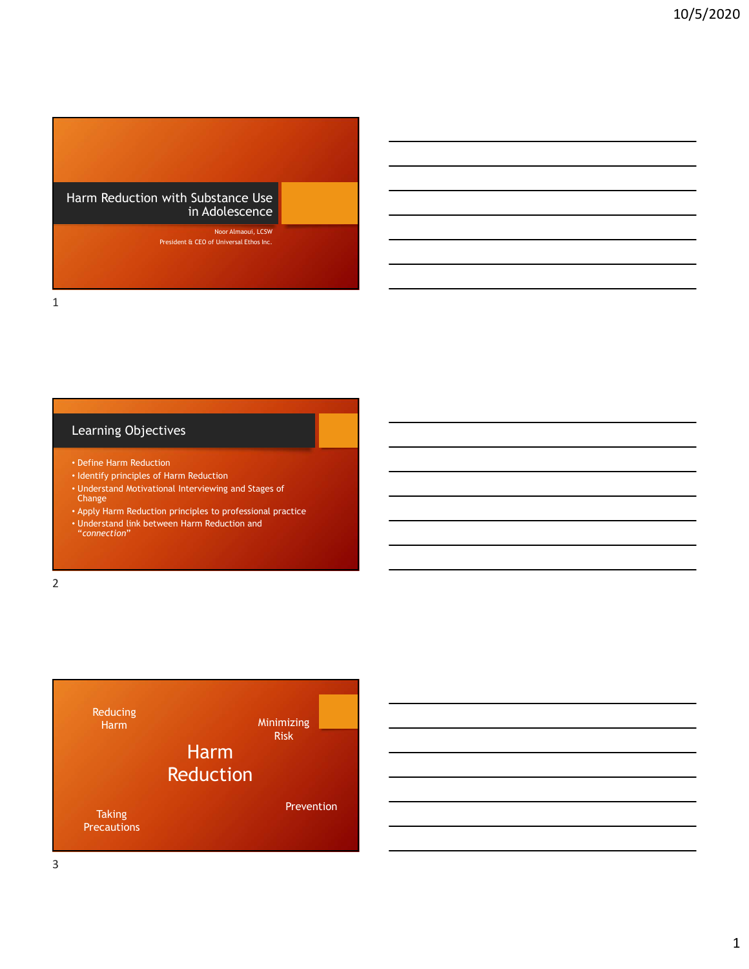Harm Reduction with Substance Use in Adolescence

> Noor Almaoui, LCSW President & CEO of Universal Ethos Inc.

# Learning Objectives

- Define Harm Reduction
- Identify principles of Harm Reduction
- Understand Motivational Interviewing and Stages of Change
- Apply Harm Reduction principles to professional practice
- Understand link between Harm Reduction and "connection"

2 and 2 and 2 and 2 and 2 and 2 and 2 and 2 and 2 and 2 and 2 and 2 and 2 and 2 and 2 and 2 and 2 and 2 and 2





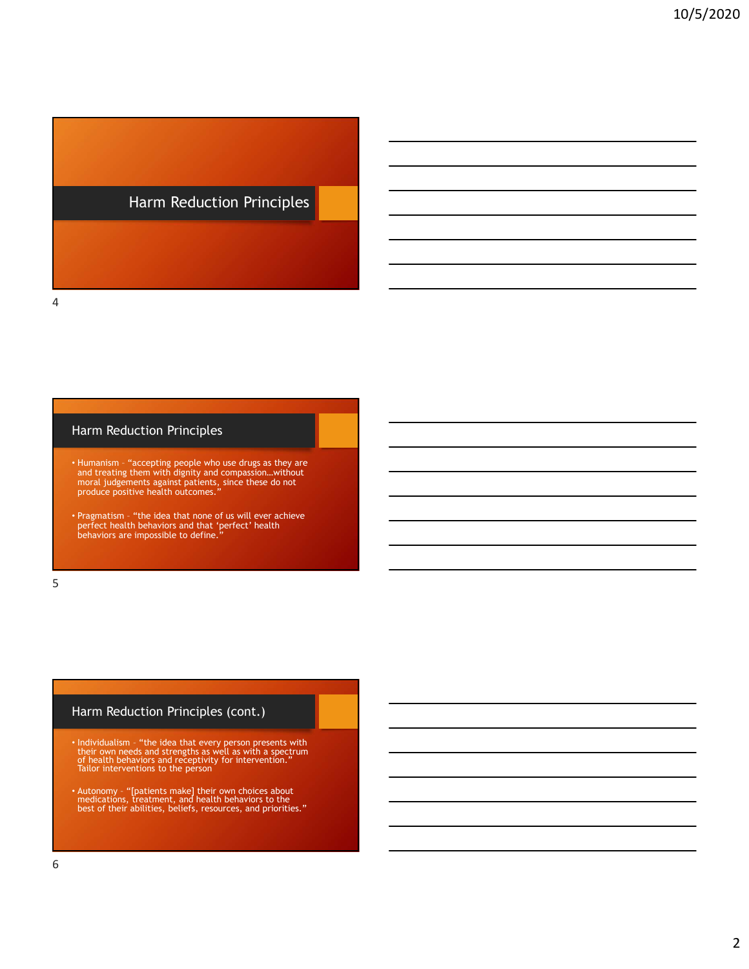# Harm Reduction Principles

### Harm Reduction Principles

4

- Harrm Reduction Principles<br>• Humanism "accepting people who use drugs as they are<br>• Humanism "accepting people who use drugs as they are<br>• and treating them with dignity and compassion...without<br>• produce positive he and treating them with dignity and compassion…without moral judgements against patients, since these do not produce positive health outcomes." • Harrm Reduction Principles<br>• Pragmatism – "accepting people who use drug as they are<br>• Pramamin – "accepting people who use drug as they are<br>• and treating them with dignity and compassion...without<br>produce positive heal Flarm Reduction Principles<br>
• Humanism – "accepting people who use drugs as they are<br>
moral judgements against patients, since these ds not<br>
produce positive health outcomes,"<br>
• Peopled these that every person principle o
- perfect health behaviors and that 'perfect' health behaviors are impossible to define."

 $5<sub>5</sub>$ 

### Harm Reduction Principles (cont.)

- Individualism "the idea that every person presents with their own needs and strengths as well as with a spectrum of health behaviors and receptivity for intervention." Tailor interventions to the person and treating them with digitary and compassion...without<br>
produce positive health outcomes."<br>
• Pragmation... "The telest that more of us will ever achieve<br> **Perfect health behaviors are impossible to define."**<br>
behaviors
- medications, treatment, and health behaviors to the best of their abilities, beliefs, resources, and priorities."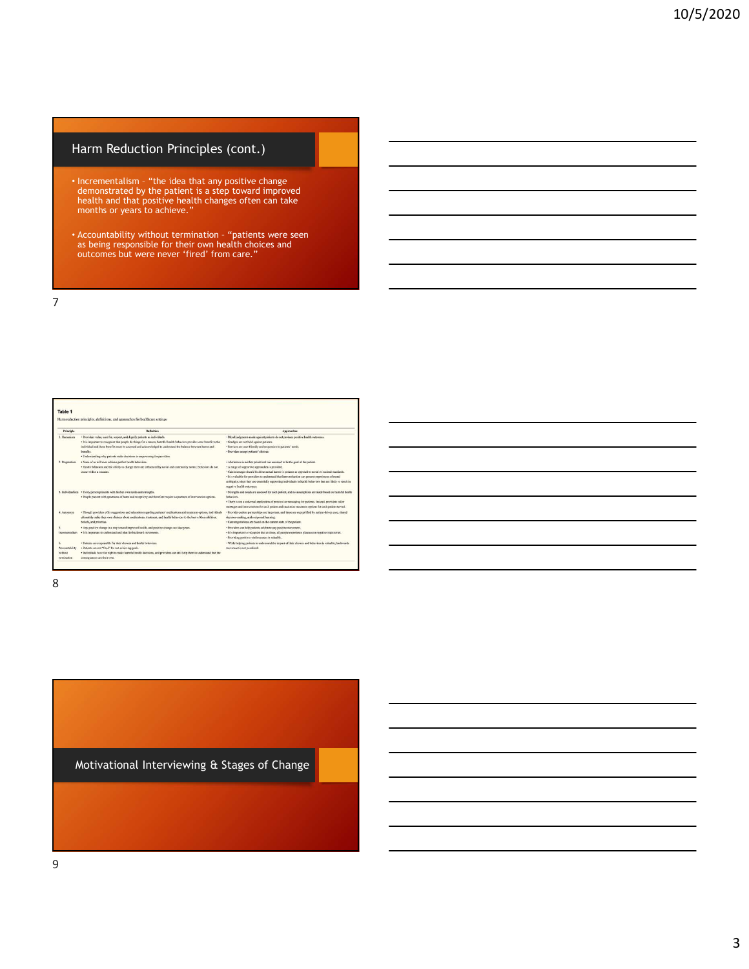## Harm Reduction Principles (cont.)

- **Harm Reduction Principles (cont.)**<br>• Incrementalism "the idea that any positive change<br>health and that positive health is a step toward improved<br>health and that positive health changes often can take<br>months or years to demonstrated by the patient is a step toward improved health and that positive health changes often can take months or years to achieve." **Harm Reduction Principles (cont.)**<br>• Incrementation – "the idea that any positive change<br>demonstrated by the patient is a step toward improved<br>incard into particular patients with changes often can take<br>months or years to
- as being responsible for their own health choices and outcomes but were never 'fired' from care."

7

| Table 1<br>Harm reduction principles, definitions, and approaches for healthcare settings |                                                                                                                                                                                                                                                                                                                                                                                                               |                                                                                                                                                                                                                                                                                                                                                                                                                                                                                             |
|-------------------------------------------------------------------------------------------|---------------------------------------------------------------------------------------------------------------------------------------------------------------------------------------------------------------------------------------------------------------------------------------------------------------------------------------------------------------------------------------------------------------|---------------------------------------------------------------------------------------------------------------------------------------------------------------------------------------------------------------------------------------------------------------------------------------------------------------------------------------------------------------------------------------------------------------------------------------------------------------------------------------------|
| <b>Principle</b>                                                                          | <b>Definition</b>                                                                                                                                                                                                                                                                                                                                                                                             | <b>Approaches</b>                                                                                                                                                                                                                                                                                                                                                                                                                                                                           |
| 1. Humanism                                                                               | · Providers value, care for, respect, and dignify patients as individuals.<br>· It is important to recognize that people do things for a reason; harmful bealth behaviors provide some benefit to the<br>individual and those benefits must be assessed and acknowledged to understand the balance between harms and<br>benefits.<br>· Understanding why patients make decisions is empowering for providers. | · Moral judgments made against patients do not produce positive health outcomes.<br>· Gradees are not held against patients.<br>· Services are user-friendly and responsive to patients' needs.<br>· Providers accept patients' choices.                                                                                                                                                                                                                                                    |
| 2. Pragmatism                                                                             | · None of us will ever achieve perfect health behaviors.<br>. Health behaviors and the ability to change them are influenced by social and community norms; behaviors do not<br>percent suddition is sourcestored                                                                                                                                                                                             | · Abstinence is neither prioritized nor assumed to be the goal of the patient.<br>· A range of supportive approaches is provided.<br>· Care messages should be about actual harms to patients as opposed to moral or societal standards.<br>· It is valuable for providers to understand that harm reduction can present experiences of moral<br>ambiguity, since they are essentially supporting individuals in health behaviors that are likely to result in<br>negative health outcomes. |
|                                                                                           | 3. Individualism - Every person presents with his her own needs and strengths.<br>· People present with spectrums of harm and receptivity and therefore require a spectrum of intervention options.                                                                                                                                                                                                           | · Strengths and needs are assessed for each patient, and no assumptions are made based on harmful health<br>hebaviors.<br>· There is not a universal application of protocol or messaging for patients. Instead, providers tailor<br>messages and interventions for each patient and maximize treatment options for each patient served.                                                                                                                                                    |
| 4. Autonomy                                                                               | · Though providers offer suggestions and education regarding patients' medications and treatment options, individuals<br>ultimately make their own choices about medications, treatment, and health behaviors to the best of their abilities.<br>beliefs, and priorities.                                                                                                                                     | · Provider-patient partnerships are important, and these are exemplified by patient-driven care, shared<br>decision-making, and reciprocal learning.<br>· Care negotiations are based on the current state of the patient.                                                                                                                                                                                                                                                                  |
| Incrementalism                                                                            | · Any positive change is a step toward improved health, and positive change can take years.<br>· It is important to understand and plan for backward movements.                                                                                                                                                                                                                                               | · Providers can help patients celebrate any positive movement.<br>· It is important to recognize that at times, all people experience plateaus or negative trajectories.<br>· Providing positive reinforcement is valuable.                                                                                                                                                                                                                                                                 |
| Accountability<br>without<br>termination                                                  | · Patients are responsible for their choices and health behaviors.<br>· Patients are not "fired" for not achieving goals.<br>· Individuals have the right to make harmful bealth decisions, and providers can still help them to understand that the<br>comequences are their own.                                                                                                                            | · While helping patients to understand the impact of their choices and behaviors is valuable, backwards<br>movement is not penalized.                                                                                                                                                                                                                                                                                                                                                       |

ı

8 and 2010 and 2010 and 2010 and 2010 and 2010 and 2010 and 2010 and 2010 and 2010 and 2010 and 2010 and 2010

Motivational Interviewing & Stages of Change

9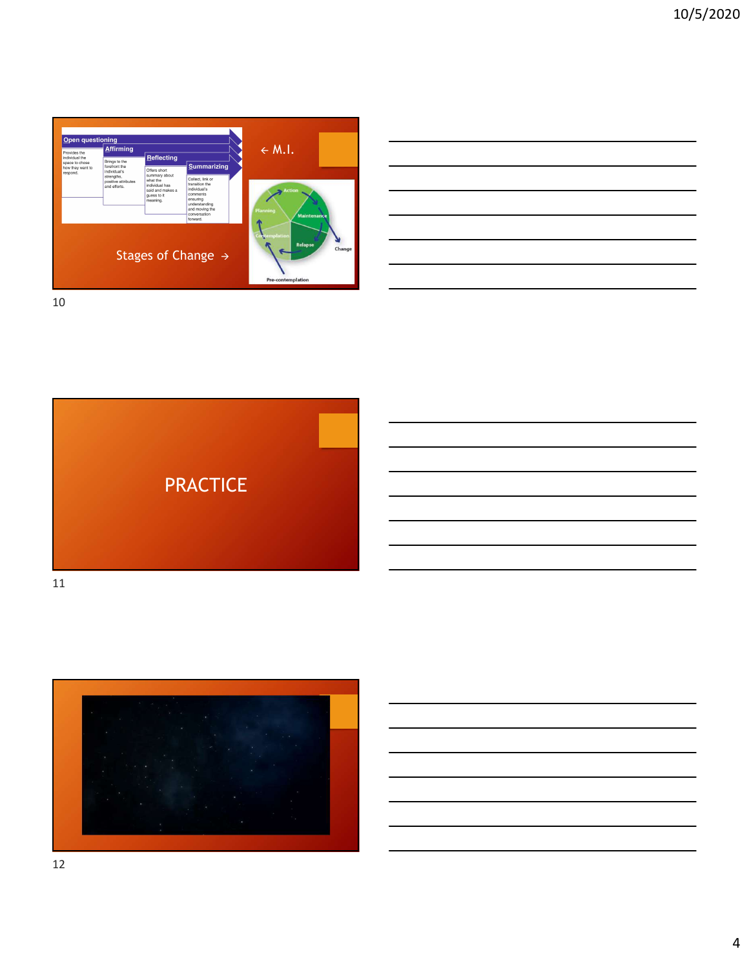

| $\leftarrow$ M.I.      |  |
|------------------------|--|
| $\sim$ Action          |  |
| anning<br>Maintenance  |  |
| ntemplation            |  |
| Relapse<br>Change<br>ш |  |
| Pre-contemplation      |  |

 $\overline{\phantom{a}}$ 

10



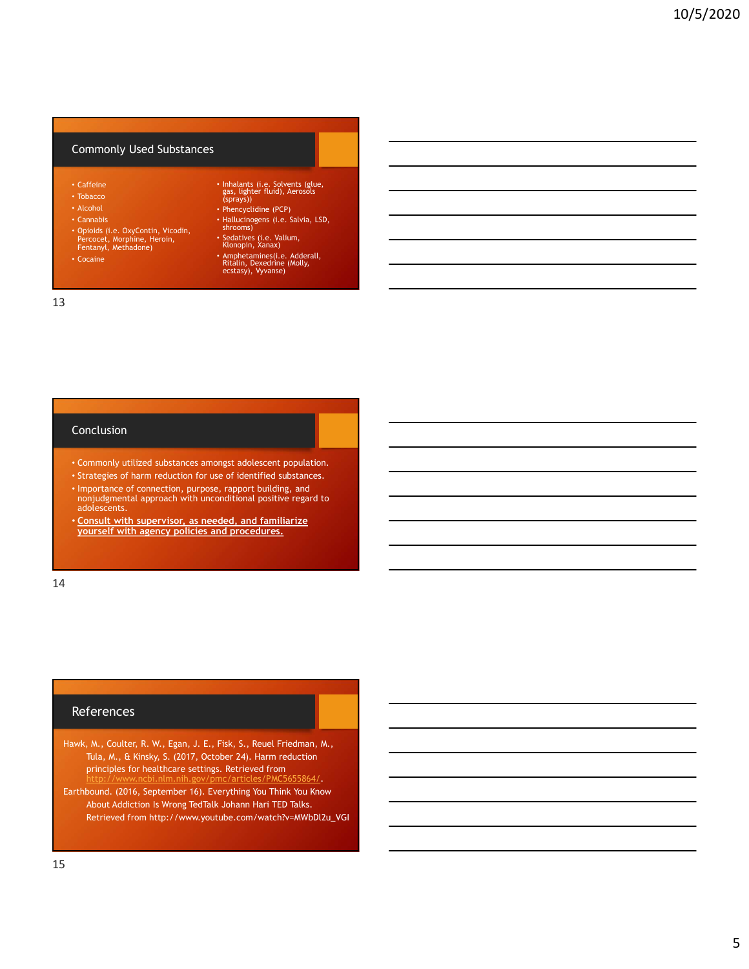### Commonly Used Substances

- Caffeine
- 
- Alcohol
- 
- Opioids (i.e. OxyContin, Vicodin, Percocet, Morphine, Heroin, Fentanyl, Methadone)
- 
- Tobacco (sprays)) and the state of the state of the state of the state of the state of the state of the state of the state of the state of the state of the state of the state of the state of the state of the state of the • Inhalants (i.e. Solvents (glue, gas, lighter fluid), Aerosols (sprays))
	- Phencyclidine (PCP)
- Cannabis Hallucinogens (i.e. Salvia, LSD, shrooms)
	- Sedatives (i.e. Valium, Klonopin, Xanax)
- Amphetamines(i.e. Adderall, and the cocaine of the control of the control of the control of the control of the control of the control of the control of the control of the control of the control of the control of the cont

#### 13

### Conclusion

- Commonly utilized substances amongst adolescent population.
- Strategies of harm reduction for use of identified substances.
- Importance of connection, purpose, rapport building, and nonjudgmental approach with unconditional positive regard to adolescents.
- Consult with supervisor, as needed, and familiarize yourself with agency policies and procedures.

14

#### **References**

- Hawk, M., Coulter, R. W., Egan, J. E., Fisk, S., Reuel Friedman, M., Tula, M., & Kinsky, S. (2017, October 24). Harm reduction principles for healthcare settings. Retrieved from<br>http://www.ncbi.nlm.nih.gov/pmc/articles/PMC5655864/. http://www.ncbi.nlm.nih.gov/pmc/articles/PMC5655864/. portance of connection, purpose, rasport building, and<br>discreasing the discretive of the system of the system of the system of<br>the system of the system of the system of the system of the system of<br>the system of the system
- Earthbound. (2016, September 16). Everything You Think You Know Retrieved from http://www.youtube.com/watch?v=MWbDl2u\_VGI